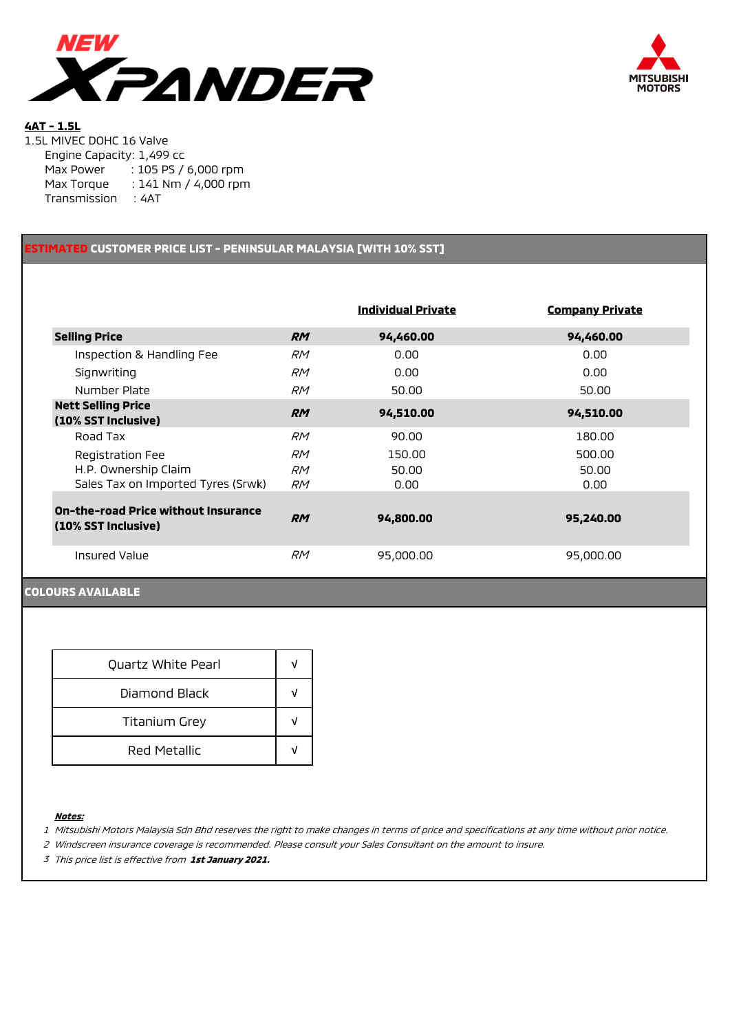



## **4AT - 1.5L**

1.5L MIVEC DOHC 16 Valve Engine Capacity: 1,499 cc Max Power : 105 PS / 6,000 rpm Max Torque : 141 Nm / 4,000 rpm Transmission : 4AT

## **ESTIMATED CUSTOMER PRICE LIST - PENINSULAR MALAYSIA [WITH 10% SST]**

|                                                                   |           | <b>Individual Private</b> | <b>Company Private</b> |  |
|-------------------------------------------------------------------|-----------|---------------------------|------------------------|--|
| <b>Selling Price</b>                                              | <b>RM</b> | 94,460.00                 | 94,460.00              |  |
| Inspection & Handling Fee                                         | <b>RM</b> | 0.00                      | 0.00                   |  |
| Signwriting                                                       | <i>RM</i> | 0.00                      | 0.00                   |  |
| Number Plate                                                      | RM        | 50.00                     | 50.00                  |  |
| <b>Nett Selling Price</b><br>(10% SST Inclusive)                  | <b>RM</b> | 94,510.00                 | 94,510.00              |  |
| Road Tax                                                          | <b>RM</b> | 90.00                     | 180.00                 |  |
| Registration Fee                                                  | <i>RM</i> | 150.00                    | 500.00                 |  |
| H.P. Ownership Claim<br>Sales Tax on Imported Tyres (Srwk)        | RM<br>RM  | 50.00<br>0.00             | 50.00<br>0.00          |  |
| <b>On-the-road Price without Insurance</b><br>(10% SST Inclusive) | <b>RM</b> | 94,800.00                 | 95,240.00              |  |
| Insured Value                                                     | <b>RM</b> | 95,000.00                 | 95,000.00              |  |

### **COLOURS AVAILABLE**

| Quartz White Pearl   |   |
|----------------------|---|
| Diamond Black        |   |
| <b>Titanium Grey</b> |   |
| Red Metallic         | J |

### **Notes:**

1 Mitsubishi Motors Malaysia Sdn Bhd reserves the right to make changes in terms of price and specifications at any time without prior notice.

2 Windscreen insurance coverage is recommended. Please consult your Sales Consultant on the amount to insure.

3 This price list is effective from **1st January 2021.**